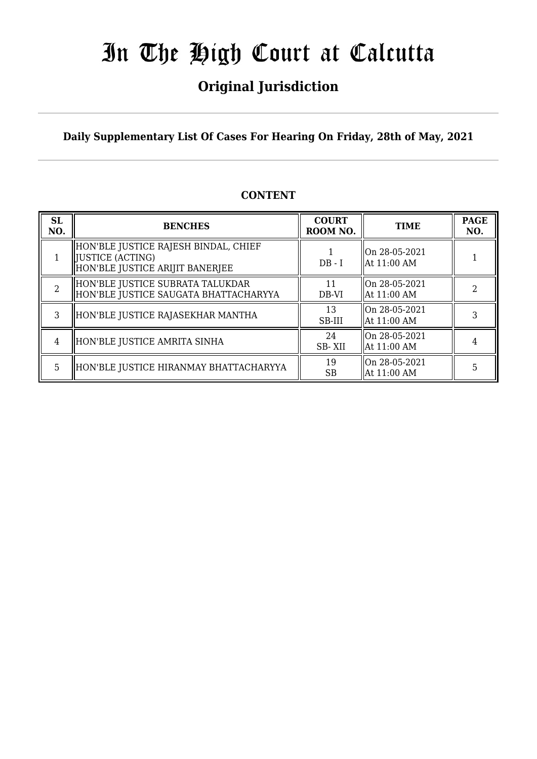## **Original Jurisdiction**

**Daily Supplementary List Of Cases For Hearing On Friday, 28th of May, 2021**

### **CONTENT**

| <b>SL</b><br>NO. | <b>BENCHES</b>                                                                               | <b>COURT</b><br>ROOM NO. | <b>TIME</b>                    | <b>PAGE</b><br>NO. |
|------------------|----------------------------------------------------------------------------------------------|--------------------------|--------------------------------|--------------------|
|                  | HON'BLE JUSTICE RAJESH BINDAL, CHIEF<br>[JUSTICE (ACTING)<br>HON'BLE JUSTICE ARIJIT BANERJEE | $DB - I$                 | On 28-05-2021<br>  At 11:00 AM |                    |
| $\overline{2}$   | HON'BLE JUSTICE SUBRATA TALUKDAR<br>HON'BLE JUSTICE SAUGATA BHATTACHARYYA                    | 11<br>DB-VI              | On 28-05-2021<br>  At 11:00 AM |                    |
| 3                | HON'BLE JUSTICE RAJASEKHAR MANTHA                                                            | 13<br>SB-III             | On 28-05-2021<br>  At 11:00 AM | 3                  |
| 4                | HON'BLE JUSTICE AMRITA SINHA                                                                 | 24<br>SB-XII             | On 28-05-2021<br>  At 11:00 AM |                    |
| 5.               | HON'BLE JUSTICE HIRANMAY BHATTACHARYYA                                                       | 19<br><b>SB</b>          | On 28-05-2021<br>At 11:00 AM   | 5                  |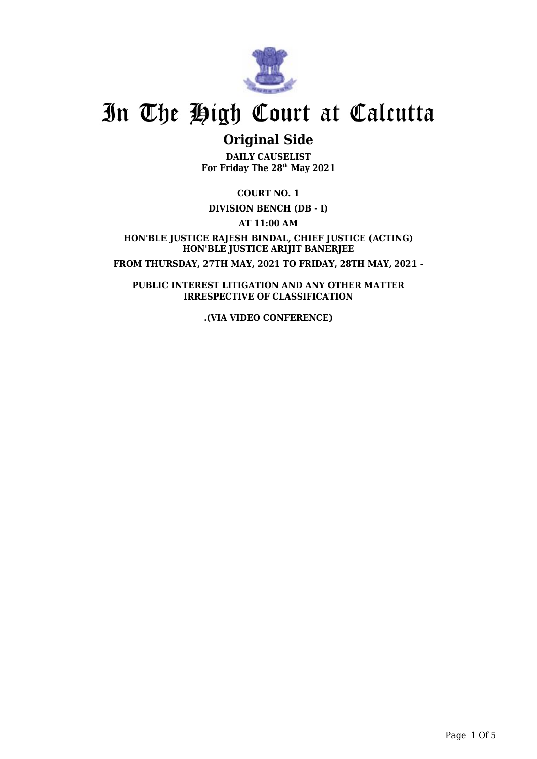

## **Original Side**

**DAILY CAUSELIST For Friday The 28th May 2021**

**COURT NO. 1**

**DIVISION BENCH (DB - I)**

**AT 11:00 AM**

**HON'BLE JUSTICE RAJESH BINDAL, CHIEF JUSTICE (ACTING) HON'BLE JUSTICE ARIJIT BANERJEE FROM THURSDAY, 27TH MAY, 2021 TO FRIDAY, 28TH MAY, 2021 -**

**PUBLIC INTEREST LITIGATION AND ANY OTHER MATTER IRRESPECTIVE OF CLASSIFICATION**

**.(VIA VIDEO CONFERENCE)**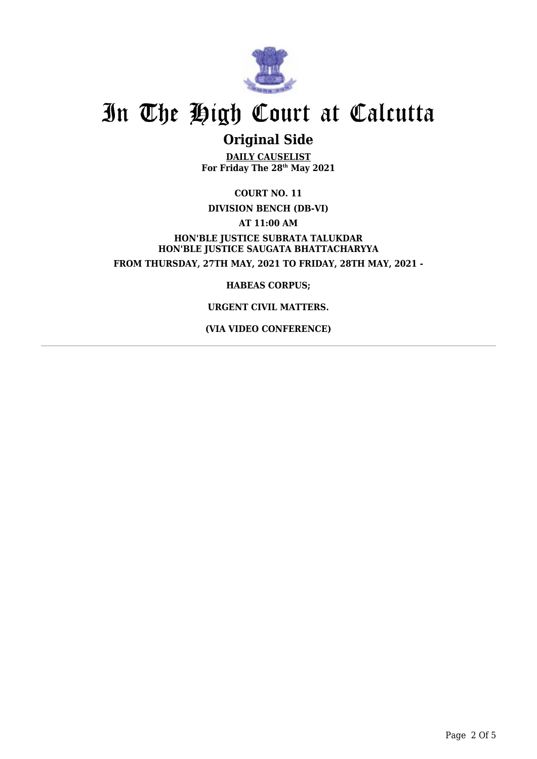

## **Original Side**

**DAILY CAUSELIST For Friday The 28th May 2021**

**COURT NO. 11 DIVISION BENCH (DB-VI) AT 11:00 AM HON'BLE JUSTICE SUBRATA TALUKDAR HON'BLE JUSTICE SAUGATA BHATTACHARYYA FROM THURSDAY, 27TH MAY, 2021 TO FRIDAY, 28TH MAY, 2021 -**

**HABEAS CORPUS;**

### **URGENT CIVIL MATTERS.**

**(VIA VIDEO CONFERENCE)**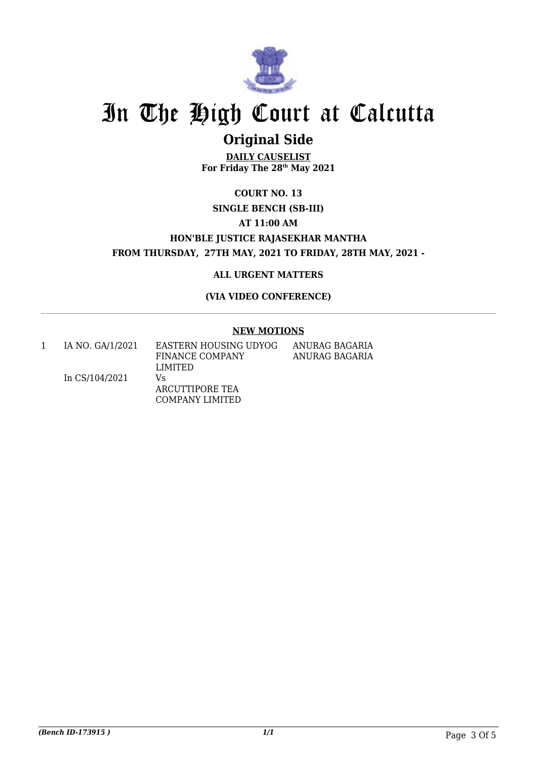

## **Original Side**

**DAILY CAUSELIST For Friday The 28th May 2021**

### **COURT NO. 13 SINGLE BENCH (SB-III) AT 11:00 AM HON'BLE JUSTICE RAJASEKHAR MANTHA FROM THURSDAY, 27TH MAY, 2021 TO FRIDAY, 28TH MAY, 2021 -**

### **ALL URGENT MATTERS**

**(VIA VIDEO CONFERENCE)**

#### **NEW MOTIONS**

1 IA NO. GA/1/2021

EASTERN HOUSING UDYOG FINANCE COMPANY LIMITED

ANURAG BAGARIA ANURAG BAGARIA

In CS/104/2021 Vs ARCUTTIPORE TEA COMPANY LIMITED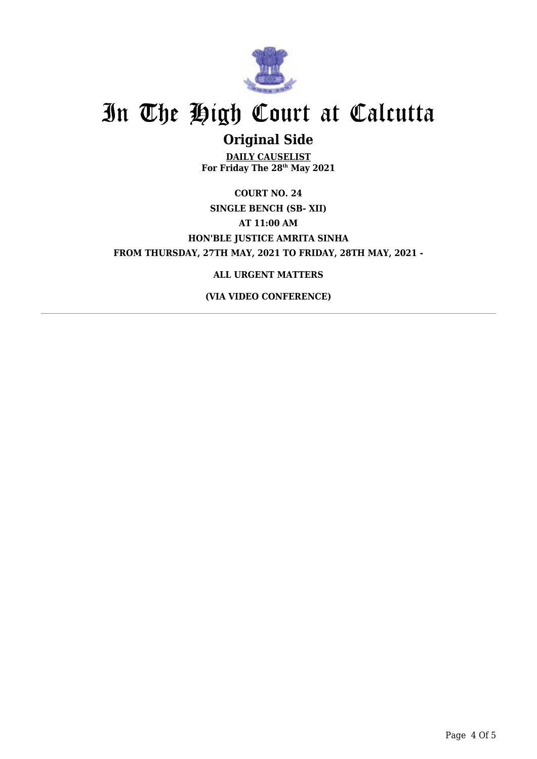

## **Original Side**

**DAILY CAUSELIST For Friday The 28th May 2021**

**COURT NO. 24 SINGLE BENCH (SB- XII) AT 11:00 AM HON'BLE JUSTICE AMRITA SINHA FROM THURSDAY, 27TH MAY, 2021 TO FRIDAY, 28TH MAY, 2021 -**

### **ALL URGENT MATTERS**

**(VIA VIDEO CONFERENCE)**